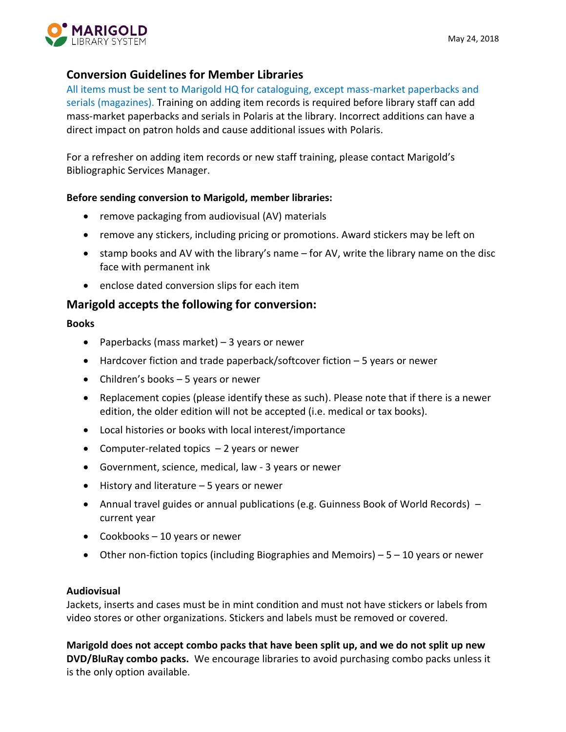

# **Conversion Guidelines for Member Libraries**

All items must be sent to Marigold HQ for cataloguing, except mass-market paperbacks and serials (magazines). Training on adding item records is required before library staff can add mass-market paperbacks and serials in Polaris at the library. Incorrect additions can have a direct impact on patron holds and cause additional issues with Polaris.

For a refresher on adding item records or new staff training, please contact Marigold's Bibliographic Services Manager.

## **Before sending conversion to Marigold, member libraries:**

- remove packaging from audiovisual (AV) materials
- remove any stickers, including pricing or promotions. Award stickers may be left on
- stamp books and AV with the library's name for AV, write the library name on the disc face with permanent ink
- enclose dated conversion slips for each item

# **Marigold accepts the following for conversion:**

#### **Books**

- Paperbacks (mass market) 3 years or newer
- Hardcover fiction and trade paperback/softcover fiction 5 years or newer
- Children's books 5 years or newer
- Replacement copies (please identify these as such). Please note that if there is a newer edition, the older edition will not be accepted (i.e. medical or tax books).
- Local histories or books with local interest/importance
- Computer-related topics  $-2$  years or newer
- Government, science, medical, law 3 years or newer
- History and literature 5 years or newer
- Annual travel guides or annual publications (e.g. Guinness Book of World Records) current year
- Cookbooks 10 years or newer
- Other non-fiction topics (including Biographies and Memoirs)  $-5 10$  years or newer

#### **Audiovisual**

Jackets, inserts and cases must be in mint condition and must not have stickers or labels from video stores or other organizations. Stickers and labels must be removed or covered.

**Marigold does not accept combo packs that have been split up, and we do not split up new DVD/BluRay combo packs.** We encourage libraries to avoid purchasing combo packs unless it is the only option available.